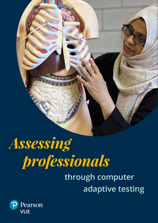# *Assessing professionals*

## **through computer adaptive testing**

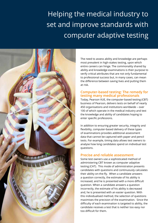## Helping the medical industry to set and improve standards with computer adaptive testing



The need to assess ability and knowledge are perhaps most prevalent in high-stakes testing, upon which entire careers can hinge. The commonality shared by ability and knowledge examinations is their purpose to verify critical attributes that are not only fundamental to professional success but, in many cases, can mean the difference between saving lives and putting them at risk.

#### **Computer-based testing: The remedy for testing many medical professionals**

Today, Pearson VUE, the computer-based testing (CBT) business of Pearson, delivers tests on behalf of nearly 450 organisations and institutions worldwide – over 100 of which operate in the medical industry and test the knowledge and ability of candidates hoping to enter specific professions.

In addition to ensuring greater security, integrity and flexibility, computer-based delivery of these types of examinations provides additional assessment data that cannot be captured with paper and pencil tests. For example, timing data allows test owners to analyse how long candidates spend on individual test questions.

#### **Precise and reliable assessment**

Some test owners use a sophisticated method of administering CBT known as computer adaptive testing (CAT). This mode of administration presents candidates with questions and continuously calculates their ability on-the-fly. When a candidate answers a question correctly, the estimate of his ability is increased, and he is presented with a more difficult question. When a candidate answers a question incorrectly, the estimate of his ability is decreased and, he is presented with an easier question. With this individualised method, the selection of questions maximises the precision of the examination. Since the difficulty of each examination is targeted to ability, the candidate receives a test that is neither too easy nor too difficult for them.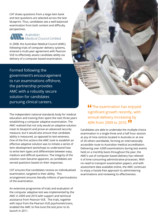CAT draws questions from a large item bank and test questions are selected across the test blueprint. Thus, candidates see a well-balanced examination from both content and difficulty perspectives.



In 2008, the Australian Medical Council (AMC), following trials of computer delivery systems, entered a multi-year agreement with Pearson VUE to effectively assess candidate ability via delivery of a computer-based examination.

Formed following the government's encouragement to run examinations offshore, the partnership provides AMC with a robustly secure solution for candidates pursuing clinical careers.

The independent national standards body for medical education and training then spent the next three years establishing a computer adaptive examination. The AMC realised that not only would an adaptive solution meet its blueprint and prove an advanced security measure, but it would also ensure that candidate ability is measured, as opposed to test-wiseness. One of the first actions the AMC took to establish an effective adaptive solution was to initiate a series of item development workshops to understand how to write item types and differentiate between easy, medium and difficult questions. The integrity of the solution soon became apparent, as candidates are served questions based on their responses.

CAT ensures that candidates receive an individualised examination, targeted to their ability. This arrangement ensures literally millions of permutations of the examination.

An extensive programme of trials and evaluation of the computer adaptive test was implemented by the AMC in 2009 and 2010 with support and technical assistance from Pearson VUE. The trials, together with input from the Pearson VUE psychometricians, enabled the AMC to fine-tune the test prior to its launch in 2011.



**66** The examination has enjoyed significant growth recently, with annual delivery increasing by 40% from 2009 to 2010.

Candidates are able to undertake the multiple-choice examination in a single three and a half hour session at any of nine centres located in Australia or at one of 20 others worldwide, forming an internationally accessible route to Australian medical accreditation. Delivering over 4,000 examinations during test events held on a monthly basis throughout the year, the AMC's use of computer-based delivery has relieved it of time-consuming administrative processes. With no need to transport examination papers, and with assessment data available online, the AMC continues to enjoy a hassle-free approach to administering examinations and reviewing its effectiveness.